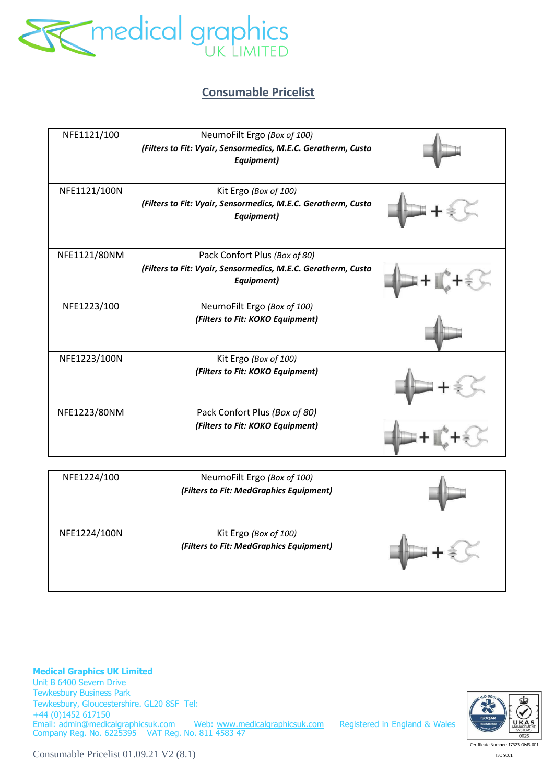

## **Consumable Pricelist**

| NFE1121/100  | NeumoFilt Ergo (Box of 100)<br>(Filters to Fit: Vyair, Sensormedics, M.E.C. Geratherm, Custo<br>Equipment)   |  |
|--------------|--------------------------------------------------------------------------------------------------------------|--|
| NFE1121/100N | Kit Ergo (Box of 100)<br>(Filters to Fit: Vyair, Sensormedics, M.E.C. Geratherm, Custo<br>Equipment)         |  |
| NFE1121/80NM | Pack Confort Plus (Box of 80)<br>(Filters to Fit: Vyair, Sensormedics, M.E.C. Geratherm, Custo<br>Equipment) |  |
| NFE1223/100  | NeumoFilt Ergo (Box of 100)<br>(Filters to Fit: KOKO Equipment)                                              |  |
| NFE1223/100N | Kit Ergo (Box of 100)<br>(Filters to Fit: KOKO Equipment)                                                    |  |
| NFE1223/80NM | Pack Confort Plus (Box of 80)<br>(Filters to Fit: KOKO Equipment)                                            |  |

| NFE1224/100  | NeumoFilt Ergo (Box of 100)<br>(Filters to Fit: MedGraphics Equipment) |  |
|--------------|------------------------------------------------------------------------|--|
| NFE1224/100N | Kit Ergo (Box of 100)<br>(Filters to Fit: MedGraphics Equipment)       |  |

**Medical Graphics UK Limited**  Unit B 6400 Severn Drive Tewkesbury Business Park Tewkesbury, Gloucestershire. GL20 8SF Tel: +44 (0)1452 617150 Email: admin@medicalgraphicsuk.com Web: www.medicalgraphicsuk.com Registered in England & Wales Company Reg. No. 6225395 VAT Reg. No. 811 4583 47

UKA  $0026$ 

Consumable Pricelist 01.09.21 V2 (8.1)